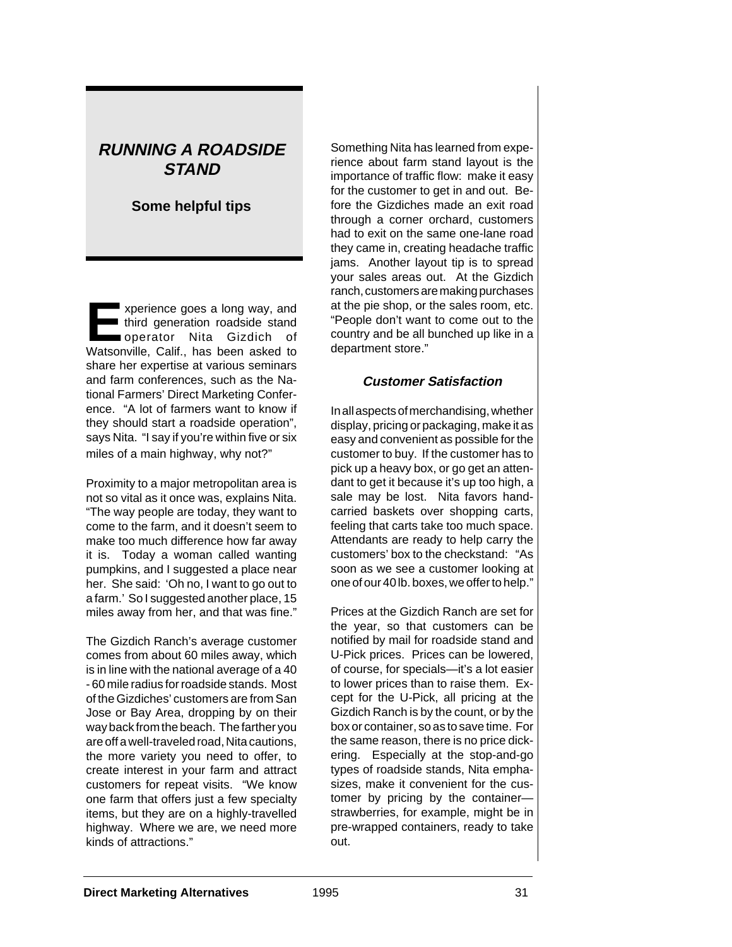# **RUNNING A ROADSIDE STAND**

## **Some helpful tips**

**EXPERIENCE SPECIES A LONG WAY, and<br>
third generation roadside stand<br>
operator Nita Gizdich of** third generation roadside stand operator Nita Gizdich of Watsonville, Calif., has been asked to share her expertise at various seminars and farm conferences, such as the National Farmers' Direct Marketing Conference. "A lot of farmers want to know if they should start a roadside operation", says Nita. "I say if you're within five or six miles of a main highway, why not?"

Proximity to a major metropolitan area is not so vital as it once was, explains Nita. "The way people are today, they want to come to the farm, and it doesn't seem to make too much difference how far away it is. Today a woman called wanting pumpkins, and I suggested a place near her. She said: 'Oh no, I want to go out to a farm.' So I suggested another place, 15 miles away from her, and that was fine."

The Gizdich Ranch's average customer comes from about 60 miles away, which is in line with the national average of a 40 - 60 mile radius for roadside stands. Most of the Gizdiches' customers are from San Jose or Bay Area, dropping by on their way back from the beach. The farther you are off a well-traveled road, Nita cautions, the more variety you need to offer, to create interest in your farm and attract customers for repeat visits. "We know one farm that offers just a few specialty items, but they are on a highly-travelled highway. Where we are, we need more kinds of attractions."

Something Nita has learned from experience about farm stand layout is the importance of traffic flow: make it easy for the customer to get in and out. Before the Gizdiches made an exit road through a corner orchard, customers had to exit on the same one-lane road they came in, creating headache traffic jams. Another layout tip is to spread your sales areas out. At the Gizdich ranch, customers are making purchases at the pie shop, or the sales room, etc. "People don't want to come out to the country and be all bunched up like in a department store."

#### **Customer Satisfaction**

In all aspects of merchandising, whether display, pricing or packaging, make it as easy and convenient as possible for the customer to buy. If the customer has to pick up a heavy box, or go get an attendant to get it because it's up too high, a sale may be lost. Nita favors handcarried baskets over shopping carts, feeling that carts take too much space. Attendants are ready to help carry the customers' box to the checkstand: "As soon as we see a customer looking at one of our 40 lb. boxes, we offer to help."

Prices at the Gizdich Ranch are set for the year, so that customers can be notified by mail for roadside stand and U-Pick prices. Prices can be lowered, of course, for specials—it's a lot easier to lower prices than to raise them. Except for the U-Pick, all pricing at the Gizdich Ranch is by the count, or by the box or container, so as to save time. For the same reason, there is no price dickering. Especially at the stop-and-go types of roadside stands, Nita emphasizes, make it convenient for the customer by pricing by the container strawberries, for example, might be in pre-wrapped containers, ready to take out.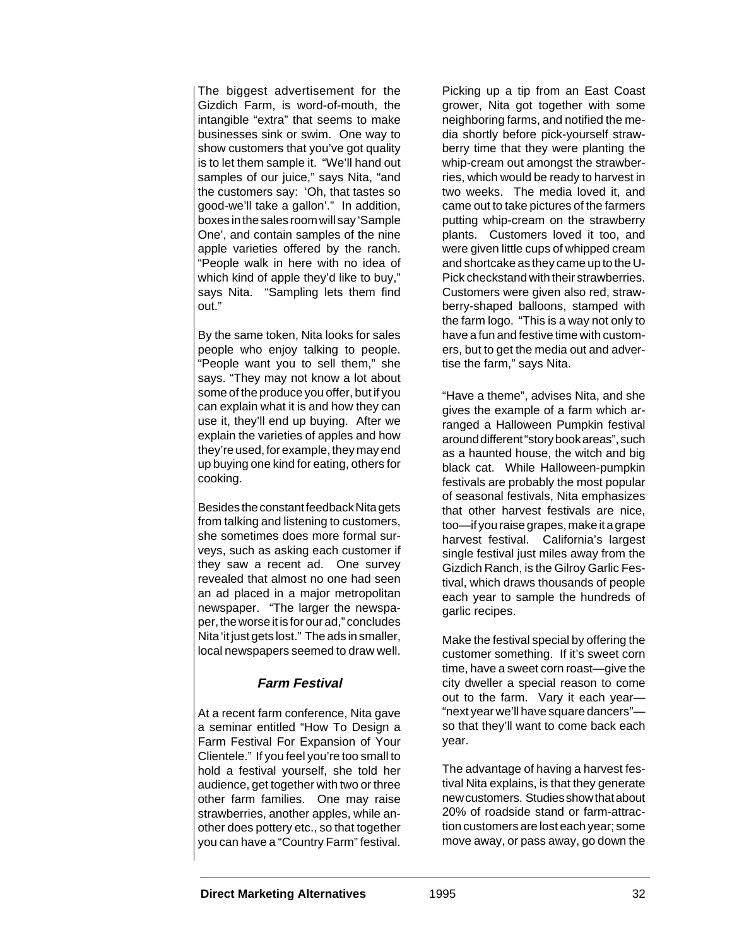The biggest advertisement for the Gizdich Farm, is word-of-mouth, the intangible "extra" that seems to make businesses sink or swim. One way to show customers that you've got quality is to let them sample it. "We'll hand out samples of our juice," says Nita, "and the customers say: 'Oh, that tastes so good-we'll take a gallon'." In addition, boxes in the sales room will say 'Sample One', and contain samples of the nine apple varieties offered by the ranch. "People walk in here with no idea of which kind of apple they'd like to buy," says Nita. "Sampling lets them find out."

By the same token, Nita looks for sales people who enjoy talking to people. "People want you to sell them," she says. "They may not know a lot about some of the produce you offer, but if you can explain what it is and how they can use it, they'll end up buying. After we explain the varieties of apples and how they're used, for example, they may end up buying one kind for eating, others for cooking.

Besides the constant feedback Nita gets from talking and listening to customers, she sometimes does more formal surveys, such as asking each customer if they saw a recent ad. One survey revealed that almost no one had seen an ad placed in a major metropolitan newspaper. "The larger the newspaper, the worse it is for our ad," concludes Nita 'it just gets lost." The ads in smaller, local newspapers seemed to draw well.

## **Farm Festival**

At a recent farm conference, Nita gave a seminar entitled "How To Design a Farm Festival For Expansion of Your Clientele." If you feel you're too small to hold a festival yourself, she told her audience, get together with two or three other farm families. One may raise strawberries, another apples, while another does pottery etc., so that together you can have a "Country Farm" festival.

Picking up a tip from an East Coast grower, Nita got together with some neighboring farms, and notified the media shortly before pick-yourself strawberry time that they were planting the whip-cream out amongst the strawberries, which would be ready to harvest in two weeks. The media loved it, and came out to take pictures of the farmers putting whip-cream on the strawberry plants. Customers loved it too, and were given little cups of whipped cream and shortcake as they came up to the U-Pick checkstand with their strawberries. Customers were given also red, strawberry-shaped balloons, stamped with the farm logo. "This is a way not only to have a fun and festive time with customers, but to get the media out and advertise the farm," says Nita.

"Have a theme", advises Nita, and she gives the example of a farm which arranged a Halloween Pumpkin festival around different "story book areas", such as a haunted house, the witch and big black cat. While Halloween-pumpkin festivals are probably the most popular of seasonal festivals, Nita emphasizes that other harvest festivals are nice, too—if you raise grapes, make it a grape harvest festival. California's largest single festival just miles away from the Gizdich Ranch, is the Gilroy Garlic Festival, which draws thousands of people each year to sample the hundreds of garlic recipes.

Make the festival special by offering the customer something. If it's sweet corn time, have a sweet corn roast—give the city dweller a special reason to come out to the farm. Vary it each year— "next year we'll have square dancers" so that they'll want to come back each year.

The advantage of having a harvest festival Nita explains, is that they generate new customers. Studies show that about 20% of roadside stand or farm-attraction customers are lost each year; some move away, or pass away, go down the